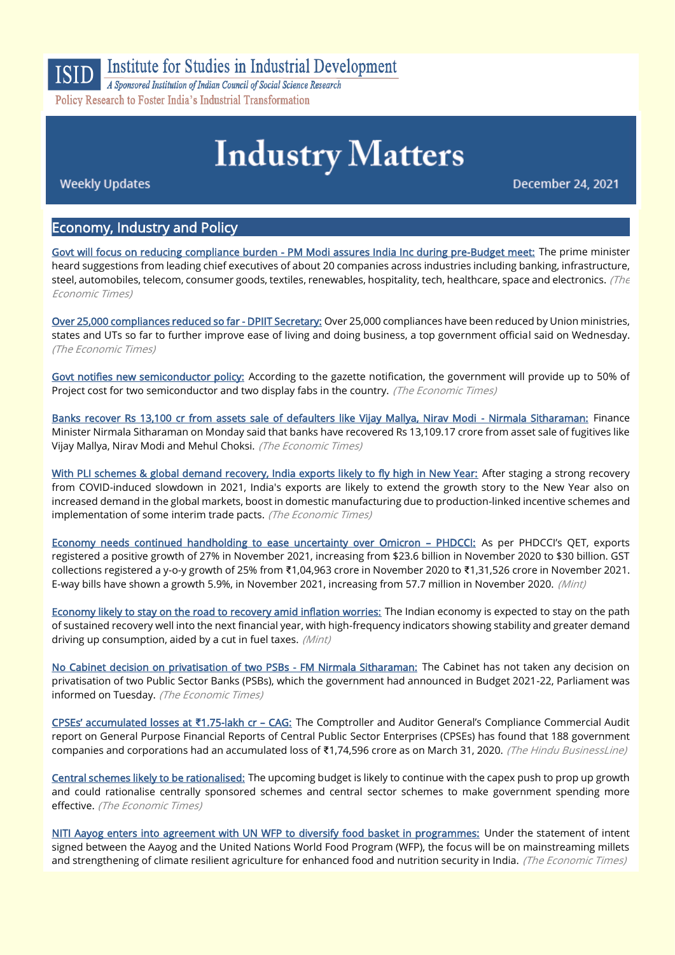

**Institute for Studies in Industrial Development** 

A Sponsored Institution of Indian Council of Social Science Research Policy Research to Foster India's Industrial Transformation

# **Industry Matters**

**Weekly Updates** 

**December 24, 2021** 

# Economy, Industry and Policy

[Govt will focus on reducing compliance burden - PM Modi assures India Inc during pre-Budget meet:](https://economictimes.indiatimes.com/news/economy/policy/pm-modi-meets-top-ceos-for-budget-inputs/articleshow/88395962.cms) The prime minister heard suggestions from leading chief executives of about 20 companies across industries including banking, infrastructure, steel, automobiles, telecom, consumer goods, textiles, renewables, hospitality, tech, healthcare, space and electronics. (The Economic Times)

[Over 25,000 compliances reduced so far - DPIIT Secretary:](https://economictimes.indiatimes.com/news/economy/policy/over-25000-compliances-reduced-so-far-dpiit-secretary/articleshow/88429589.cms) Over 25,000 compliances have been reduced by Union ministries, states and UTs so far to further improve ease of living and doing business, a top government official said on Wednesday. (The Economic Times)

[Govt notifies new semiconductor policy:](https://economictimes.indiatimes.com/news/economy/policy/govt-notifies-new-semiconductor-policy/articleshow/88419299.cms) According to the gazette notification, the government will provide up to 50% of Project cost for two semiconductor and two display fabs in the country. (The Economic Times)

[Banks recover Rs 13,100 cr from assets sale of defaulters like Vijay Mallya, Nirav Modi - Nirmala Sitharaman:](https://economictimes.indiatimes.com/industry/banking/finance/banking/banks-recover-rs-13100-cr-from-assets-sale-of-defaulters-like-vijay-mallya-nirav-modi-nirmala-sitharaman/articleshow/88393110.cms) Finance Minister Nirmala Sitharaman on Monday said that banks have recovered Rs 13,109.17 crore from asset sale of fugitives like Vijay Mallya, Nirav Modi and Mehul Choksi. (The Economic Times)

[With PLI schemes & global demand recovery, India exports likely to fly high in New Year:](https://economictimes.indiatimes.com/news/economy/foreign-trade/with-pli-schemes-global-demand-recovery-india-exports-likely-to-fly-high-in-new-year/articleshow/88369135.cms) After staging a strong recovery from COVID-induced slowdown in 2021, India's exports are likely to extend the growth story to the New Year also on increased demand in the global markets, boost in domestic manufacturing due to production-linked incentive schemes and implementation of some interim trade pacts. (The Economic Times)

[Economy needs continued handholding to ease uncertainty over Omicron](https://www.livemint.com/economy/need-to-mitigate-uncertainty-caused-by-omicron-phd-chamber-11639989000960.html) – PHDCCI: As per PHDCCI's QET, exports registered a positive growth of 27% in November 2021, increasing from \$23.6 billion in November 2020 to \$30 billion. GST collections registered a y-o-y growth of 25% from ₹1,04,963 crore in November 2020 to ₹1,31,526 crore in November 2021. E-way bills have shown a growth 5.9%, in November 2021, increasing from 57.7 million in November 2020. (Mint)

[Economy likely to stay on the road to recovery amid inflation worries:](https://www.livemint.com/economy/economy-likely-to-stay-on-the-road-to-recovery-amid-inflation-worries-11639931579482.html) The Indian economy is expected to stay on the path of sustained recovery well into the next financial year, with high-frequency indicators showing stability and greater demand driving up consumption, aided by a cut in fuel taxes. (Mint)

[No Cabinet decision on privatisation of two PSBs - FM Nirmala Sitharaman:](https://economictimes.indiatimes.com/industry/banking/finance/banking/no-cabinet-decision-on-privatisation-of-two-psbs-fm-nirmala-sitharaman/articleshow/88415993.cms) The Cabinet has not taken any decision on privatisation of two Public Sector Banks (PSBs), which the government had announced in Budget 2021-22, Parliament was informed on Tuesday. (The Economic Times)

[CPSEs' accumulated losses at](https://www.thehindubusinessline.com/economy/cpses-accumulated-losses-at-175-lakh-cr-cag/article38006866.ece) **₹**1.75-lakh cr – CAG: The Comptroller and Auditor General's Compliance Commercial Audit report on General Purpose Financial Reports of Central Public Sector Enterprises (CPSEs) has found that 188 government companies and corporations had an accumulated loss of ₹1,74,596 crore as on March 31, 2020. (The Hindu BusinessLine)

[Central schemes likely to be rationalised:](https://economictimes.indiatimes.com/news/economy/policy/central-schemes-likely-to-be-rationalised/articleshow/88401753.cms) The upcoming budget is likely to continue with the capex push to prop up growth and could rationalise centrally sponsored schemes and central sector schemes to make government spending more effective. (The Economic Times)

[NITI Aayog enters into agreement with UN WFP to diversify food basket in programmes:](https://economictimes.indiatimes.com/news/economy/agriculture/niti-aayog-enters-into-agreement-with-un-wfp-to-diversify-food-basket-in-programmes/articleshow/88409584.cms) Under the statement of intent signed between the Aayog and the United Nations World Food Program (WFP), the focus will be on mainstreaming millets and strengthening of climate resilient agriculture for enhanced food and nutrition security in India. (The Economic Times)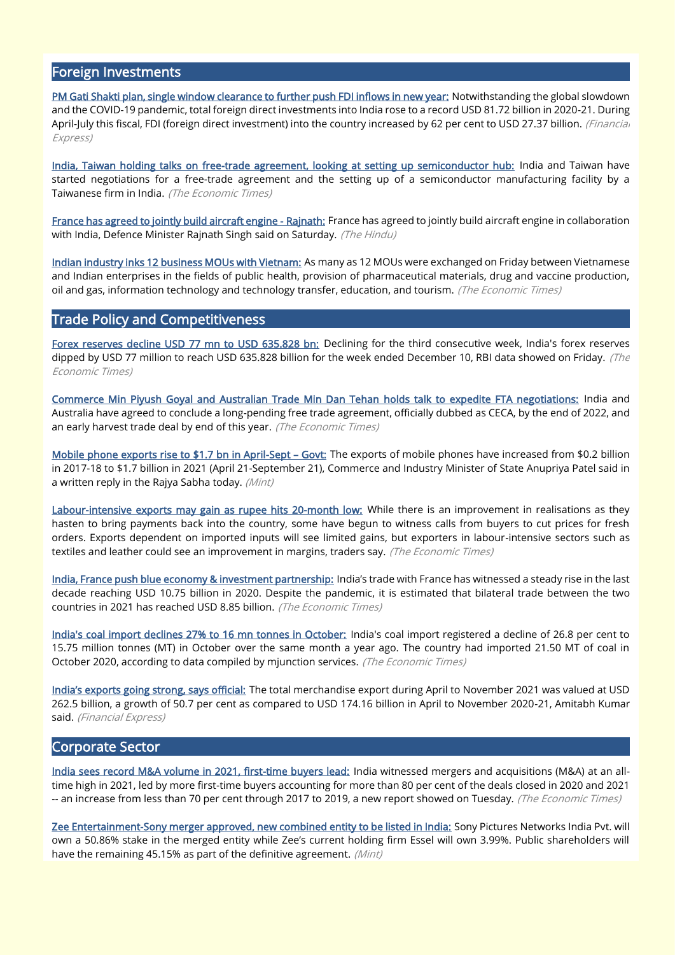# Foreign Investments

[PM Gati Shakti plan, single window clearance to further push FDI inflows in new year:](https://www.financialexpress.com/economy/pm-gati-shakti-plan-single-window-clearance-to-further-push-fdi-inflows-in-new-year/2385578/) Notwithstanding the global slowdown and the COVID-19 pandemic, total foreign direct investments into India rose to a record USD 81.72 billion in 2020-21. During April-July this fiscal, FDI (foreign direct investment) into the country increased by 62 per cent to USD 27.37 billion. (Financial Express)

[India, Taiwan holding talks on free-trade agreement, looking at setting up semiconductor hub:](https://economictimes.indiatimes.com/news/economy/foreign-trade/india-taiwan-holding-talks-on-free-trade-agreement-looking-at-setting-up-semiconductor-hub/articleshow/88375076.cms) India and Taiwan have started negotiations for a free-trade agreement and the setting up of a semiconductor manufacturing facility by a Taiwanese firm in India. (The Economic Times)

[France has agreed to jointly build aircraft engine - Rajnath:](https://www.thehindu.com/news/national/have-conveyed-to-us-russia-others-that-equipment-for-indian-forces-has-to-be-produced-in-india-rajnath/article37984581.ece) France has agreed to jointly build aircraft engine in collaboration with India, Defence Minister Rajnath Singh said on Saturday. (The Hindu)

[Indian industry inks 12 business MOUs with Vietnam:](https://economictimes.indiatimes.com/news/economy/foreign-trade/indian-industry-inks-12-business-mous-with-vietnam/articleshow/88341327.cms) As many as 12 MOUs were exchanged on Friday between Vietnamese and Indian enterprises in the fields of public health, provision of pharmaceutical materials, drug and vaccine production, oil and gas, information technology and technology transfer, education, and tourism. (The Economic Times)

# Trade Policy and Competitiveness

[Forex reserves decline USD 77 mn to USD 635.828 bn:](https://economictimes.indiatimes.com/news/economy/finance/forex-reserves-decline-usd-77-mn-to-usd-635-828-bn/articleshow/88344436.cms) Declining for the third consecutive week, India's forex reserves dipped by USD 77 million to reach USD 635.828 billion for the week ended December 10, RBI data showed on Friday. (The Economic Times)

[Commerce Min Piyush Goyal and Australian Trade Min Dan Tehan holds talk to expedite FTA negotiations:](https://economictimes.indiatimes.com/news/economy/foreign-trade/commerce-min-piyush-goyal-and-australian-trade-min-dan-tehan-holds-talk-to-expedite-fta-negotiations/articleshow/88449913.cms) India and Australia have agreed to conclude a long-pending free trade agreement, officially dubbed as CECA, by the end of 2022, and an early harvest trade deal by end of this year. (The Economic Times)

[Mobile phone exports rise to \\$1.7 bn in April-Sept](https://www.livemint.com/news/india/mobile-phone-exports-rises-to-1-7-bn-in-april-sept-govt-11639757932940.html) – Govt: The exports of mobile phones have increased from \$0.2 billion in 2017-18 to \$1.7 billion in 2021 (April 21-September 21), Commerce and Industry Minister of State Anupriya Patel said in a written reply in the Rajya Sabha today. (Mint)

[Labour-intensive exports may gain as rupee hits 20-month low:](https://economictimes.indiatimes.com/news/economy/foreign-trade/labour-intensive-exports-may-gain-as-rupee-hits-20-month-low/articleshow/88378342.cms) While there is an improvement in realisations as they hasten to bring payments back into the country, some have begun to witness calls from buyers to cut prices for fresh orders. Exports dependent on imported inputs will see limited gains, but exporters in labour-intensive sectors such as textiles and leather could see an improvement in margins, traders say. (The Economic Times)

[India, France push blue economy & investment partnership:](https://economictimes.indiatimes.com/news/economy/foreign-trade/india-france-push-blue-economy-investment-partnership/articleshow/88412378.cms) India's trade with France has witnessed a steady rise in the last decade reaching USD 10.75 billion in 2020. Despite the pandemic, it is estimated that bilateral trade between the two countries in 2021 has reached USD 8.85 billion. (The Economic Times)

[India's coal import declines 27% to 16 mn tonnes in October:](https://economictimes.indiatimes.com/industry/indl-goods/svs/metals-mining/indias-coal-import-declines-27-to-16-mn-tonnes-in-october/articleshow/88369656.cms) India's coal import registered a decline of 26.8 per cent to 15.75 million tonnes (MT) in October over the same month a year ago. The country had imported 21.50 MT of coal in October 2020, according to data compiled by mjunction services. (The Economic Times)

[India's exports going strong, says official:](https://www.financialexpress.com/economy/indias-exports-going-strong-says-official/2384596/) The total merchandise export during April to November 2021 was valued at USD 262.5 billion, a growth of 50.7 per cent as compared to USD 174.16 billion in April to November 2020-21, Amitabh Kumar said. (Financial Express)

# Corporate Sector

[India sees record M&A volume in 2021, first-time buyers lead:](https://economictimes.indiatimes.com/news/company/corporate-trends/india-sees-record-ma-volume-in-2021-first-time-buyers-lead/articleshow/88406001.cms) India witnessed mergers and acquisitions (M&A) at an alltime high in 2021, led by more first-time buyers accounting for more than 80 per cent of the deals closed in 2020 and 2021 -- an increase from less than 70 per cent through 2017 to 2019, a new report showed on Tuesday. (The Economic Times)

[Zee Entertainment-Sony merger approved, new combined entity to be listed in India:](https://www.livemint.com/companies/news/zee-entertainment-board-approves-scheme-of-arrangement-with-sony-pictures-india-11640140991468.html) Sony Pictures Networks India Pvt. will own a 50.86% stake in the merged entity while Zee's current holding firm Essel will own 3.99%. Public shareholders will have the remaining 45.15% as part of the definitive agreement. (Mint)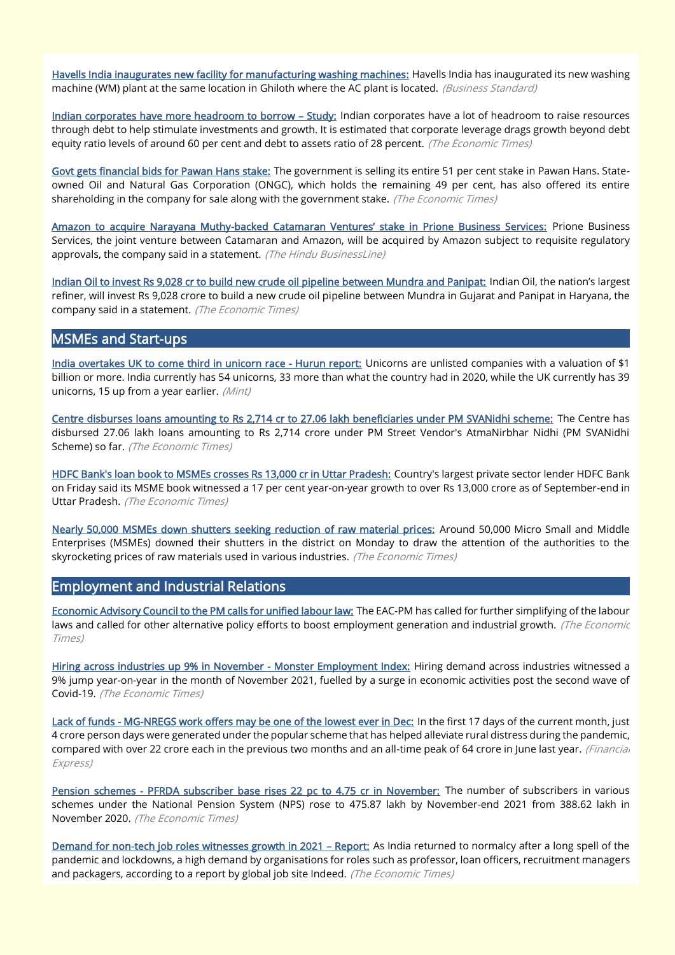[Havells India inaugurates new facility for manufacturing washing machines:](https://www.business-standard.com/article/news-cm/havells-india-inaugurates-new-facility-for-manufacturing-washing-machines-121122300484_1.html) Havells India has inaugurated its new washing machine (WM) plant at the same location in Ghiloth where the AC plant is located. (Business Standard)

[Indian corporates have more headroom to borrow](https://economictimes.indiatimes.com/industry/banking/finance/indian-corporates-have-more-headroom-to-borrow-study/articleshow/88373863.cms) - Study: Indian corporates have a lot of headroom to raise resources through debt to help stimulate investments and growth. It is estimated that corporate leverage drags growth beyond debt equity ratio levels of around 60 per cent and debt to assets ratio of 28 percent. (The Economic Times)

[Govt gets financial bids for Pawan Hans stake:](https://economictimes.indiatimes.com/industry/transportation/airlines-/-aviation/govt-gets-financial-bids-for-pawan-hans-stake/articleshow/88354124.cms) The government is selling its entire 51 per cent stake in Pawan Hans. Stateowned Oil and Natural Gas Corporation (ONGC), which holds the remaining 49 per cent, has also offered its entire shareholding in the company for sale along with the government stake. (The Economic Times)

Amazon to acquire Narayana Muthy-[backed Catamaran Ventures' stake in Prione Business Services:](https://www.thehindubusinessline.com/companies/amazon-to-acquire-narayana-muthy-backed-catamaran-ventures-stake-in-prione-business-services/article38012281.ece) Prione Business Services, the joint venture between Catamaran and Amazon, will be acquired by Amazon subject to requisite regulatory approvals, the company said in a statement. (The Hindu BusinessLine)

[Indian Oil to invest Rs 9,028 cr to build new crude oil pipeline between Mundra and Panipat:](https://economictimes.indiatimes.com/industry/energy/oil-gas/indian-oil-to-invest-rs-9-028-cr-to-build-new-crude-oil-pipeline-between-mundra-and-panipat/articleshow/88454168.cms) Indian Oil, the nation's largest refiner, will invest Rs 9,028 crore to build a new crude oil pipeline between Mundra in Gujarat and Panipat in Haryana, the company said in a statement. (The Economic Times)

# MSMEs and Start-ups

[India overtakes UK to come third in unicorn race - Hurun report:](https://www.livemint.com/companies/start-ups/india-overtakes-uk-to-come-third-in-unicorn-race-hurun-report-11640169766405.html) Unicorns are unlisted companies with a valuation of \$1 billion or more. India currently has 54 unicorns, 33 more than what the country had in 2020, while the UK currently has 39 unicorns, 15 up from a year earlier. (Mint)

[Centre disburses loans amounting to Rs 2,714 cr to 27.06 lakh beneficiaries under PM SVANidhi scheme:](https://economictimes.indiatimes.com/news/economy/finance/centre-disburses-loans-amounting-to-rs-2714-cr-to-27-06-lakh-beneficiaries-under-pm-svanidhi-scheme/articleshow/88404585.cms) The Centre has disbursed 27.06 lakh loans amounting to Rs 2,714 crore under PM Street Vendor's AtmaNirbhar Nidhi (PM SVANidhi Scheme) so far. (The Economic Times)

[HDFC Bank's loan book to MSMEs crosses Rs 13,000 cr in Uttar Pradesh:](https://economictimes.indiatimes.com/industry/banking/finance/banking/hdfc-banks-loan-book-to-msmes-crosses-rs-13000-cr-in-uttar-pradesh/articleshow/88338597.cms) Country's largest private sector lender HDFC Bank on Friday said its MSME book witnessed a 17 per cent year-on-year growth to over Rs 13,000 crore as of September-end in Uttar Pradesh. (The Economic Times)

[Nearly 50,000 MSMEs down shutters seeking reduction of raw material prices:](https://economictimes.indiatimes.com/small-biz/sme-sector/nearly-50000-msmes-down-shutters-seeking-reduction-of-raw-material-prices/articleshow/88389723.cms) Around 50,000 Micro Small and Middle Enterprises (MSMEs) downed their shutters in the district on Monday to draw the attention of the authorities to the skyrocketing prices of raw materials used in various industries. (The Economic Times)

# Employment and Industrial Relations

[Economic Advisory Council to the PM calls for unified labour law:](https://economictimes.indiatimes.com/news/economy/policy/economic-advisory-council-to-the-pm-calls-for-unified-labour-law/articleshow/88378366.cms) The EAC-PM has called for further simplifying of the labour laws and called for other alternative policy efforts to boost employment generation and industrial growth. (The Economic Times)

[Hiring across industries up 9% in November - Monster Employment Index:](https://economictimes.indiatimes.com/jobs/hiring-across-industries-up-9-in-november-monster-employment-index/articleshow/88387942.cms) Hiring demand across industries witnessed a 9% jump year-on-year in the month of November 2021, fuelled by a surge in economic activities post the second wave of Covid-19. (The Economic Times)

[Lack of funds - MG-NREGS work offers may be one of the lowest ever in Dec:](https://www.financialexpress.com/economy/lack-of-funds-mg-nregs-work-offers-may-be-one-of-the-lowest-ever-in-dec/2383728/) In the first 17 days of the current month, just 4 crore person days were generated under the popular scheme that has helped alleviate rural distress during the pandemic, compared with over 22 crore each in the previous two months and an all-time peak of 64 crore in June last year. (Financial Express)

[Pension schemes - PFRDA subscriber base rises 22 pc to 4.75 cr in November:](https://economictimes.indiatimes.com/news/economy/finance/pension-schemes-pfrda-subscriber-base-rises-22-pc-to-4-75-cr-in-november/articleshow/88346075.cms) The number of subscribers in various schemes under the National Pension System (NPS) rose to 475.87 lakh by November-end 2021 from 388.62 lakh in November 2020. (The Economic Times)

[Demand for non-tech job roles witnesses growth in 2021](https://economictimes.indiatimes.com/jobs/demand-for-non-tech-job-roles-witnesses-growth-in-2021-report/articleshow/88438147.cms) – Report: As India returned to normalcy after a long spell of the pandemic and lockdowns, a high demand by organisations for roles such as professor, loan officers, recruitment managers and packagers, according to a report by global job site Indeed. (The Economic Times)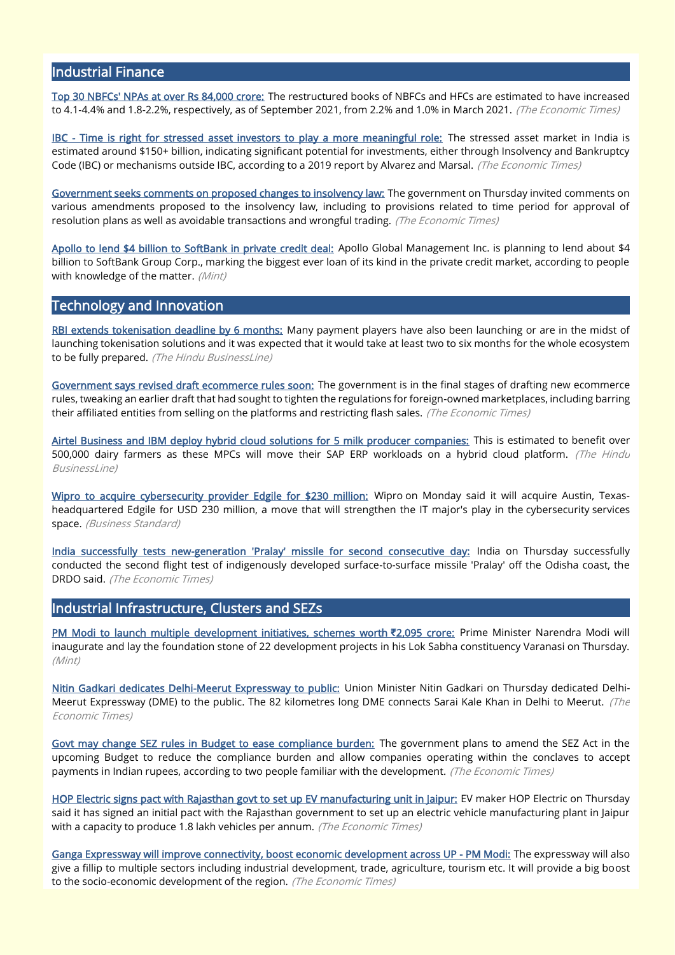# Industrial Finance

[Top 30 NBFCs' NPAs at over Rs 84,000 crore:](https://bfsi.economictimes.indiatimes.com/news/nbfc/top-30-nbfcs-npas-at-over-rs-84000-crore/88338567) The restructured books of NBFCs and HFCs are estimated to have increased to 4.1-4.4% and 1.8-2.2%, respectively, as of September 2021, from 2.2% and 1.0% in March 2021. (The Economic Times)

[IBC - Time is right for stressed asset investors to play a more meaningful role:](https://economictimes.indiatimes.com/small-biz/sme-sector/ibc-time-is-right-for-stressed-asset-investors-to-play-a-more-meaningful-role/articleshow/88405503.cms) The stressed asset market in India is estimated around \$150+ billion, indicating significant potential for investments, either through Insolvency and Bankruptcy Code (IBC) or mechanisms outside IBC, according to a 2019 report by Alvarez and Marsal. (The Economic Times)

[Government seeks comments on proposed changes to insolvency law:](https://economictimes.indiatimes.com/news/economy/policy/government-seeks-comments-on-proposed-changes-to-insolvency-law/articleshow/88456181.cms) The government on Thursday invited comments on various amendments proposed to the insolvency law, including to provisions related to time period for approval of resolution plans as well as avoidable transactions and wrongful trading. (The Economic Times)

[Apollo to lend \\$4 billion to SoftBank in private credit deal:](https://www.livemint.com/companies/news/apollo-to-lend-4-billion-to-softbank-in-private-credit-deal-11640145004213.html) Apollo Global Management Inc. is planning to lend about \$4 billion to SoftBank Group Corp., marking the biggest ever loan of its kind in the private credit market, according to people with knowledge of the matter. (Mint)

# Technology and Innovation

[RBI extends tokenisation deadline by 6 months:](https://www.thehindubusinessline.com/money-and-banking/rbi-extends-tokenisation-deadline-by-6-months/article38023259.ece?homepage=true) Many payment players have also been launching or are in the midst of launching tokenisation solutions and it was expected that it would take at least two to six months for the whole ecosystem to be fully prepared. (The Hindu BusinessLine)

[Government says revised draft ecommerce rules soon:](https://economictimes.indiatimes.com/industry/services/retail/government-says-revised-draft-ecommerce-rules-soon/articleshow/88402119.cms) The government is in the final stages of drafting new ecommerce rules, tweaking an earlier draft that had sought to tighten the regulations for foreign-owned marketplaces, including barring their affiliated entities from selling on the platforms and restricting flash sales. (The Economic Times)

[Airtel Business and IBM deploy hybrid cloud solutions for 5 milk producer companies:](https://www.thehindubusinessline.com/info-tech/airtel-business-and-ibm-deploy-hybrid-cloud-solutions-for-5-milk-producer-companies/article38013099.ece) This is estimated to benefit over 500,000 dairy farmers as these MPCs will move their SAP ERP workloads on a hybrid cloud platform. (The Hindu BusinessLine)

[Wipro to acquire cybersecurity provider Edgile for \\$230 million:](https://www.business-standard.com/article/companies/wipro-to-acquire-cybersecurity-provider-edgile-for-230-million-121122000948_1.html) Wipro on Monday said it will acquire Austin, Texasheadquartered Edgile for USD 230 million, a move that will strengthen the IT major's play in the cybersecurity services space. (Business Standard)

[India successfully tests new-generation 'Pralay' missile for second consecutive day:](https://economictimes.indiatimes.com/news/defence/pralay-quasi-ballistic-missile-developed-to-defeat-interceptor-missiles-sources/articleshow/88446744.cms) India on Thursday successfully conducted the second flight test of indigenously developed surface-to-surface missile 'Pralay' off the Odisha coast, the DRDO said. (The Economic Times)

# Industrial Infrastructure, Clusters and SEZs

[PM Modi to launch multiple development initiatives, schemes worth](https://www.livemint.com/news/india/pm-modi-to-launch-multiple-development-initiatives-schemes-worth-rs-2-095-crore-details-here-11640225143444.html) **₹**2,095 crore: Prime Minister Narendra Modi will inaugurate and lay the foundation stone of 22 development projects in his Lok Sabha constituency Varanasi on Thursday. (Mint)

[Nitin Gadkari dedicates Delhi-Meerut Expressway to public:](https://economictimes.indiatimes.com/news/economy/infrastructure/nitin-gadkari-dedicates-delhi-meerut-expressway-to-public/articleshow/88457274.cms) Union Minister Nitin Gadkari on Thursday dedicated Delhi-Meerut Expressway (DME) to the public. The 82 kilometres long DME connects Sarai Kale Khan in Delhi to Meerut. (The Economic Times)

[Govt may change SEZ rules in Budget to ease compliance burden:](https://economictimes.indiatimes.com/industry/services/property-/-cstruction/govt-may-change-sez-rules-in-budget-to-ease-compliance-burden/articleshow/88401595.cms) The government plans to amend the SEZ Act in the upcoming Budget to reduce the compliance burden and allow companies operating within the conclaves to accept payments in Indian rupees, according to two people familiar with the development. (The Economic Times)

[HOP Electric signs pact with Rajasthan govt to set up EV manufacturing unit in Jaipur:](https://economictimes.indiatimes.com/industry/renewables/hop-electric-signs-pact-with-rajasthan-govt-to-set-up-ev-manufacturing-unit-in-jaipur/articleshow/88457618.cms) EV maker HOP Electric on Thursday said it has signed an initial pact with the Rajasthan government to set up an electric vehicle manufacturing plant in Jaipur with a capacity to produce 1.8 lakh vehicles per annum. (The Economic Times)

[Ganga Expressway will improve connectivity, boost economic development across UP - PM Modi:](https://economictimes.indiatimes.com/news/economy/infrastructure/ganga-expressway-will-improve-connectivity-boost-economic-development-across-up-pm-modi/articleshow/88353975.cms) The expressway will also give a fillip to multiple sectors including industrial development, trade, agriculture, tourism etc. It will provide a big boost to the socio-economic development of the region. (The Economic Times)